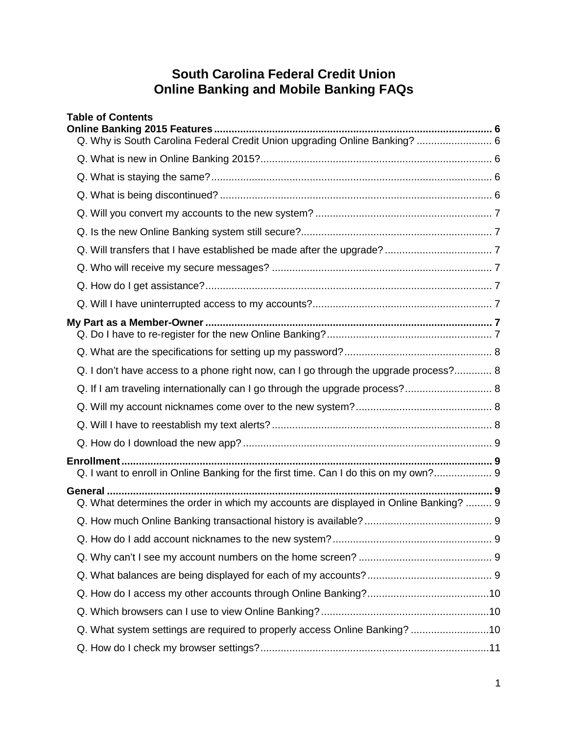# **South Carolina Federal Credit Union Online Banking and Mobile Banking FAQs**

| <b>Table of Contents</b>                                                              |  |
|---------------------------------------------------------------------------------------|--|
| Q. Why is South Carolina Federal Credit Union upgrading Online Banking?  6            |  |
|                                                                                       |  |
|                                                                                       |  |
|                                                                                       |  |
|                                                                                       |  |
|                                                                                       |  |
|                                                                                       |  |
|                                                                                       |  |
|                                                                                       |  |
|                                                                                       |  |
|                                                                                       |  |
|                                                                                       |  |
|                                                                                       |  |
|                                                                                       |  |
| Q. I don't have access to a phone right now, can I go through the upgrade process? 8  |  |
| Q. If I am traveling internationally can I go through the upgrade process? 8          |  |
|                                                                                       |  |
|                                                                                       |  |
|                                                                                       |  |
|                                                                                       |  |
| Q. I want to enroll in Online Banking for the first time. Can I do this on my own? 9  |  |
| Q. What determines the order in which my accounts are displayed in Online Banking?  9 |  |
|                                                                                       |  |
|                                                                                       |  |
|                                                                                       |  |
|                                                                                       |  |
|                                                                                       |  |
|                                                                                       |  |
| Q. What system settings are required to properly access Online Banking? 10            |  |
|                                                                                       |  |
|                                                                                       |  |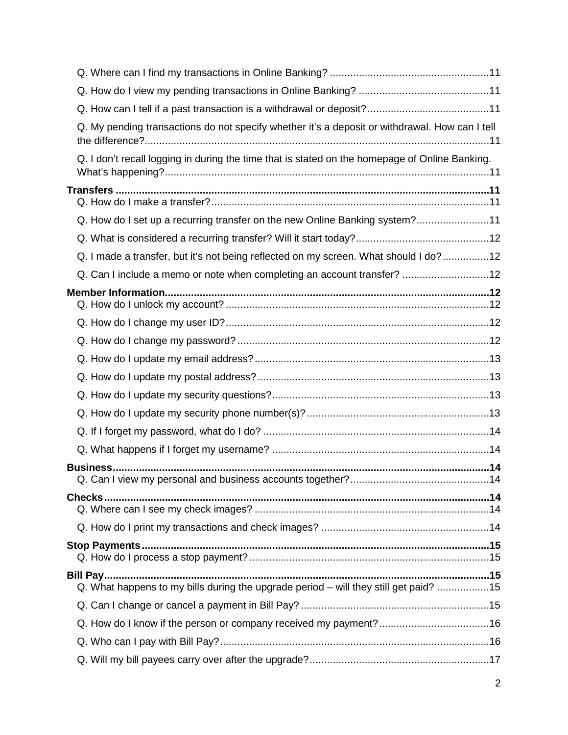| Q. My pending transactions do not specify whether it's a deposit or withdrawal. How can I tell |  |
|------------------------------------------------------------------------------------------------|--|
| Q. I don't recall logging in during the time that is stated on the homepage of Online Banking. |  |
|                                                                                                |  |
| Q. How do I set up a recurring transfer on the new Online Banking system?11                    |  |
|                                                                                                |  |
| Q. I made a transfer, but it's not being reflected on my screen. What should I do?12           |  |
| Q. Can I include a memo or note when completing an account transfer? 12                        |  |
|                                                                                                |  |
|                                                                                                |  |
|                                                                                                |  |
|                                                                                                |  |
|                                                                                                |  |
|                                                                                                |  |
|                                                                                                |  |
|                                                                                                |  |
|                                                                                                |  |
|                                                                                                |  |
|                                                                                                |  |
|                                                                                                |  |
|                                                                                                |  |
| Q. What happens to my bills during the upgrade period - will they still get paid? 15           |  |
|                                                                                                |  |
|                                                                                                |  |
|                                                                                                |  |
|                                                                                                |  |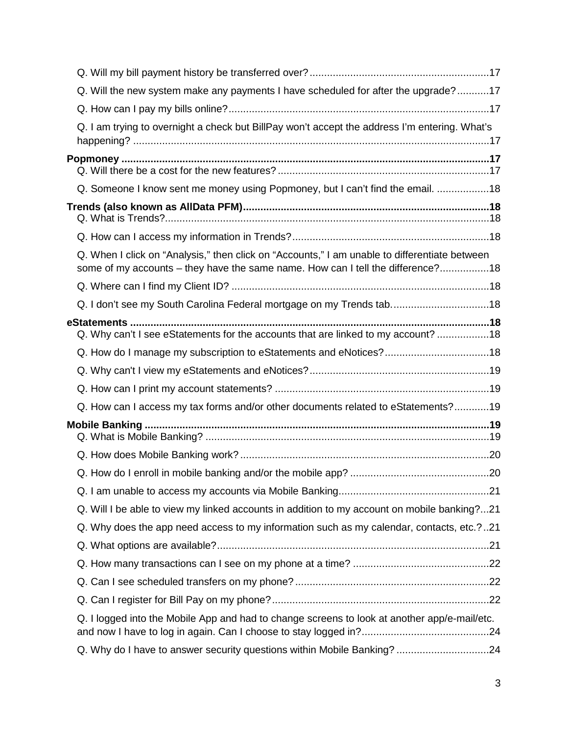| Q. Will the new system make any payments I have scheduled for after the upgrade?17                                                                                               |  |
|----------------------------------------------------------------------------------------------------------------------------------------------------------------------------------|--|
|                                                                                                                                                                                  |  |
| Q. I am trying to overnight a check but BillPay won't accept the address I'm entering. What's                                                                                    |  |
|                                                                                                                                                                                  |  |
|                                                                                                                                                                                  |  |
| Q. Someone I know sent me money using Popmoney, but I can't find the email. 18                                                                                                   |  |
|                                                                                                                                                                                  |  |
|                                                                                                                                                                                  |  |
| Q. When I click on "Analysis," then click on "Accounts," I am unable to differentiate between<br>some of my accounts – they have the same name. How can I tell the difference?18 |  |
|                                                                                                                                                                                  |  |
| Q. I don't see my South Carolina Federal mortgage on my Trends tab18                                                                                                             |  |
|                                                                                                                                                                                  |  |
| Q. Why can't I see eStatements for the accounts that are linked to my account? 18                                                                                                |  |
|                                                                                                                                                                                  |  |
|                                                                                                                                                                                  |  |
|                                                                                                                                                                                  |  |
| Q. How can I access my tax forms and/or other documents related to eStatements?19                                                                                                |  |
|                                                                                                                                                                                  |  |
|                                                                                                                                                                                  |  |
|                                                                                                                                                                                  |  |
|                                                                                                                                                                                  |  |
| Q. Will I be able to view my linked accounts in addition to my account on mobile banking?21                                                                                      |  |
| Q. Why does the app need access to my information such as my calendar, contacts, etc.?21                                                                                         |  |
|                                                                                                                                                                                  |  |
|                                                                                                                                                                                  |  |
|                                                                                                                                                                                  |  |
|                                                                                                                                                                                  |  |
| Q. I logged into the Mobile App and had to change screens to look at another app/e-mail/etc.                                                                                     |  |
| Q. Why do I have to answer security questions within Mobile Banking? 24                                                                                                          |  |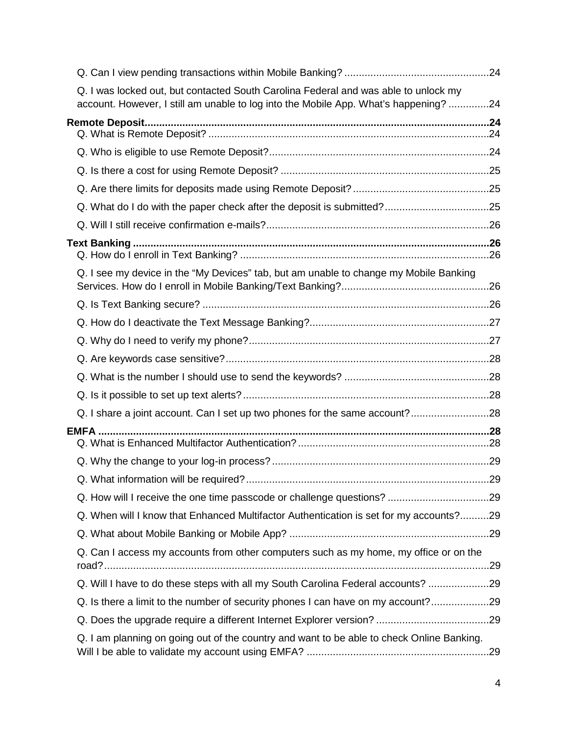| Q. I was locked out, but contacted South Carolina Federal and was able to unlock my<br>account. However, I still am unable to log into the Mobile App. What's happening? 24 |  |
|-----------------------------------------------------------------------------------------------------------------------------------------------------------------------------|--|
|                                                                                                                                                                             |  |
|                                                                                                                                                                             |  |
|                                                                                                                                                                             |  |
|                                                                                                                                                                             |  |
|                                                                                                                                                                             |  |
|                                                                                                                                                                             |  |
|                                                                                                                                                                             |  |
| Q. I see my device in the "My Devices" tab, but am unable to change my Mobile Banking                                                                                       |  |
|                                                                                                                                                                             |  |
|                                                                                                                                                                             |  |
|                                                                                                                                                                             |  |
|                                                                                                                                                                             |  |
|                                                                                                                                                                             |  |
|                                                                                                                                                                             |  |
|                                                                                                                                                                             |  |
|                                                                                                                                                                             |  |
|                                                                                                                                                                             |  |
|                                                                                                                                                                             |  |
|                                                                                                                                                                             |  |
|                                                                                                                                                                             |  |
| Q. When will I know that Enhanced Multifactor Authentication is set for my accounts?29                                                                                      |  |
|                                                                                                                                                                             |  |
| Q. Can I access my accounts from other computers such as my home, my office or on the                                                                                       |  |
| Q. Will I have to do these steps with all my South Carolina Federal accounts? 29                                                                                            |  |
| Q. Is there a limit to the number of security phones I can have on my account?29                                                                                            |  |
|                                                                                                                                                                             |  |
| Q. I am planning on going out of the country and want to be able to check Online Banking.                                                                                   |  |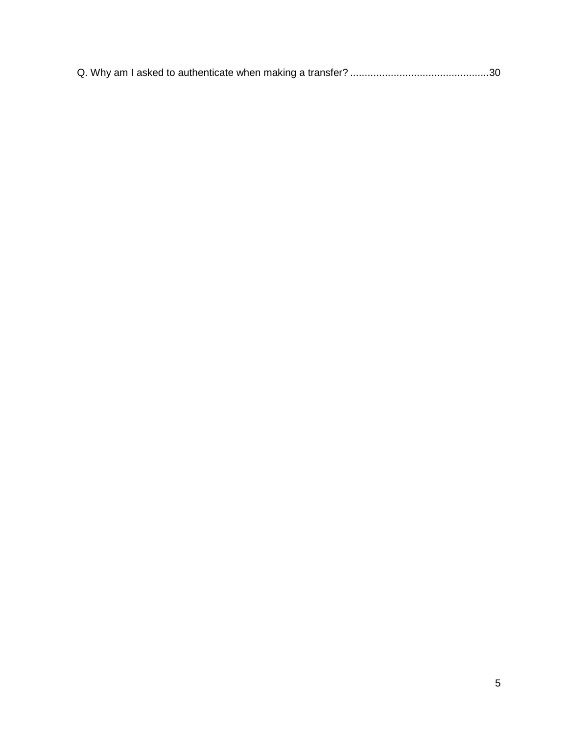|--|--|--|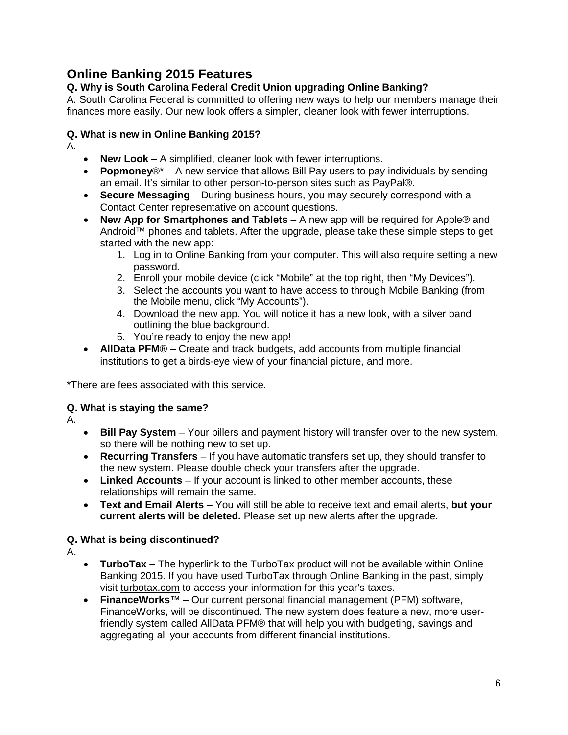# <span id="page-5-0"></span>**Online Banking 2015 Features**

# <span id="page-5-1"></span>**Q. Why is South Carolina Federal Credit Union upgrading Online Banking?**

A. South Carolina Federal is committed to offering new ways to help our members manage their finances more easily. Our new look offers a simpler, cleaner look with fewer interruptions.

# <span id="page-5-2"></span>**Q. What is new in Online Banking 2015?**

A.

- **New Look**  A simplified, cleaner look with fewer interruptions.
- **Popmoney**®\* A new service that allows Bill Pay users to pay individuals by sending an email. It's similar to other person-to-person sites such as PayPal®.
- **Secure Messaging**  During business hours, you may securely correspond with a Contact Center representative on account questions.
- **New App for Smartphones and Tablets**  A new app will be required for Apple® and Android™ phones and tablets. After the upgrade, please take these simple steps to get started with the new app:
	- 1. Log in to Online Banking from your computer. This will also require setting a new password.
	- 2. Enroll your mobile device (click "Mobile" at the top right, then "My Devices").
	- 3. Select the accounts you want to have access to through Mobile Banking (from the Mobile menu, click "My Accounts").
	- 4. Download the new app. You will notice it has a new look, with a silver band outlining the blue background.
	- 5. You're ready to enjoy the new app!
- **AllData PFM**® Create and track budgets, add accounts from multiple financial institutions to get a birds-eye view of your financial picture, and more.

\*There are fees associated with this service.

# <span id="page-5-3"></span>**Q. What is staying the same?**

A.

- **Bill Pay System**  Your billers and payment history will transfer over to the new system, so there will be nothing new to set up.
- **Recurring Transfers**  If you have automatic transfers set up, they should transfer to the new system. Please double check your transfers after the upgrade.
- Linked Accounts If your account is linked to other member accounts, these relationships will remain the same.
- **Text and Email Alerts**  You will still be able to receive text and email alerts, **but your current alerts will be deleted.** Please set up new alerts after the upgrade.

# <span id="page-5-4"></span>**Q. What is being discontinued?**

A.

- **TurboTax**  The hyperlink to the TurboTax product will not be available within Online Banking 2015. If you have used TurboTax through Online Banking in the past, simply visit [turbotax.com](https://turbotax.intuit.com/) to access your information for this year's taxes.
- **FinanceWorks**™ Our current personal financial management (PFM) software, FinanceWorks, will be discontinued. The new system does feature a new, more userfriendly system called AllData PFM® that will help you with budgeting, savings and aggregating all your accounts from different financial institutions.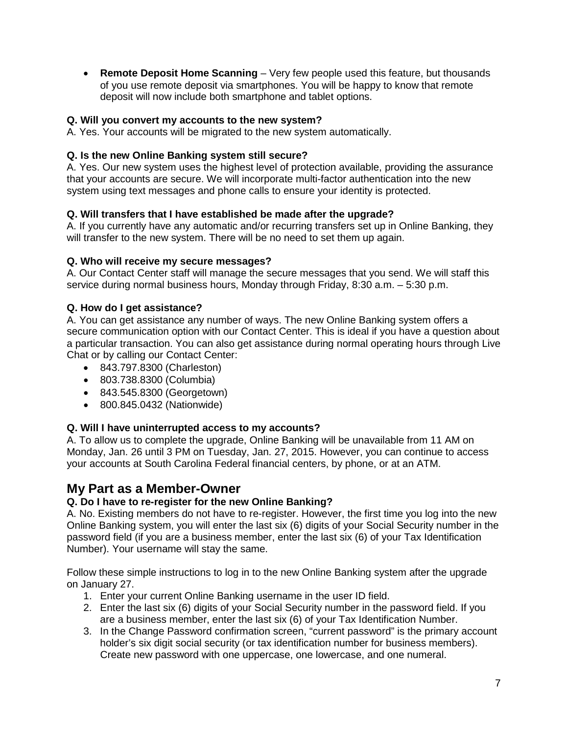• **Remote Deposit Home Scanning** – Very few people used this feature, but thousands of you use remote deposit via smartphones. You will be happy to know that remote deposit will now include both smartphone and tablet options.

# <span id="page-6-0"></span>**Q. Will you convert my accounts to the new system?**

A. Yes. Your accounts will be migrated to the new system automatically.

## <span id="page-6-1"></span>**Q. Is the new Online Banking system still secure?**

A. Yes. Our new system uses the highest level of protection available, providing the assurance that your accounts are secure. We will incorporate multi-factor authentication into the new system using text messages and phone calls to ensure your identity is protected.

# <span id="page-6-2"></span>**Q. Will transfers that I have established be made after the upgrade?**

A. If you currently have any automatic and/or recurring transfers set up in Online Banking, they will transfer to the new system. There will be no need to set them up again.

## <span id="page-6-3"></span>**Q. Who will receive my secure messages?**

A. Our Contact Center staff will manage the secure messages that you send. We will staff this service during normal business hours, Monday through Friday, 8:30 a.m. – 5:30 p.m.

## <span id="page-6-4"></span>**Q. How do I get assistance?**

A. You can get assistance any number of ways. The new Online Banking system offers a secure communication option with our Contact Center. This is ideal if you have a question about a particular transaction. You can also get assistance during normal operating hours through Live Chat or by calling our Contact Center:

- 843.797.8300 (Charleston)
- 803.738.8300 (Columbia)
- 843.545.8300 (Georgetown)
- 800.845.0432 (Nationwide)

## <span id="page-6-5"></span>**Q. Will I have uninterrupted access to my accounts?**

A. To allow us to complete the upgrade, Online Banking will be unavailable from 11 AM on Monday, Jan. 26 until 3 PM on Tuesday, Jan. 27, 2015. However, you can continue to access your accounts at South Carolina Federal financial centers, by phone, or at an ATM.

# <span id="page-6-6"></span>**My Part as a Member-Owner**

# <span id="page-6-7"></span>**Q. Do I have to re-register for the new Online Banking?**

A. No. Existing members do not have to re-register. However, the first time you log into the new Online Banking system, you will enter the last six (6) digits of your Social Security number in the password field (if you are a business member, enter the last six (6) of your Tax Identification Number). Your username will stay the same.

Follow these simple instructions to log in to the new Online Banking system after the upgrade on January 27.

- 1. Enter your current Online Banking username in the user ID field.
- 2. Enter the last six (6) digits of your Social Security number in the password field. If you are a business member, enter the last six (6) of your Tax Identification Number.
- 3. In the Change Password confirmation screen, "current password" is the primary account holder's six digit social security (or tax identification number for business members). Create new password with one uppercase, one lowercase, and one numeral.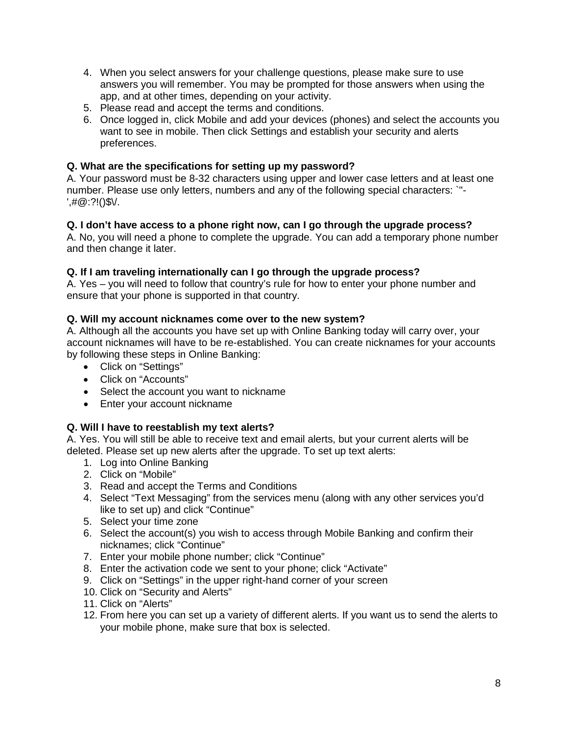- 4. When you select answers for your challenge questions, please make sure to use answers you will remember. You may be prompted for those answers when using the app, and at other times, depending on your activity.
- 5. Please read and accept the terms and conditions.
- 6. Once logged in, click Mobile and add your devices (phones) and select the accounts you want to see in mobile. Then click Settings and establish your security and alerts preferences.

# <span id="page-7-0"></span>**Q. What are the specifications for setting up my password?**

A. Your password must be 8-32 characters using upper and lower case letters and at least one number. Please use only letters, numbers and any of the following special characters: `"-  $',\#@:?!()$ \$V.

# <span id="page-7-1"></span>**Q. I don't have access to a phone right now, can I go through the upgrade process?**

A. No, you will need a phone to complete the upgrade. You can add a temporary phone number and then change it later.

# <span id="page-7-2"></span>**Q. If I am traveling internationally can I go through the upgrade process?**

A. Yes – you will need to follow that country's rule for how to enter your phone number and ensure that your phone is supported in that country.

# <span id="page-7-3"></span>**Q. Will my account nicknames come over to the new system?**

A. Although all the accounts you have set up with Online Banking today will carry over, your account nicknames will have to be re-established. You can create nicknames for your accounts by following these steps in Online Banking:

- Click on "Settings"
- Click on "Accounts"
- Select the account you want to nickname
- Enter your account nickname

## <span id="page-7-4"></span>**Q. Will I have to reestablish my text alerts?**

A. Yes. You will still be able to receive text and email alerts, but your current alerts will be deleted. Please set up new alerts after the upgrade. To set up text alerts:

- 1. Log into Online Banking
- 2. Click on "Mobile"
- 3. Read and accept the Terms and Conditions
- 4. Select "Text Messaging" from the services menu (along with any other services you'd like to set up) and click "Continue"
- 5. Select your time zone
- 6. Select the account(s) you wish to access through Mobile Banking and confirm their nicknames; click "Continue"
- 7. Enter your mobile phone number; click "Continue"
- 8. Enter the activation code we sent to your phone; click "Activate"
- 9. Click on "Settings" in the upper right-hand corner of your screen
- 10. Click on "Security and Alerts"
- 11. Click on "Alerts"
- 12. From here you can set up a variety of different alerts. If you want us to send the alerts to your mobile phone, make sure that box is selected.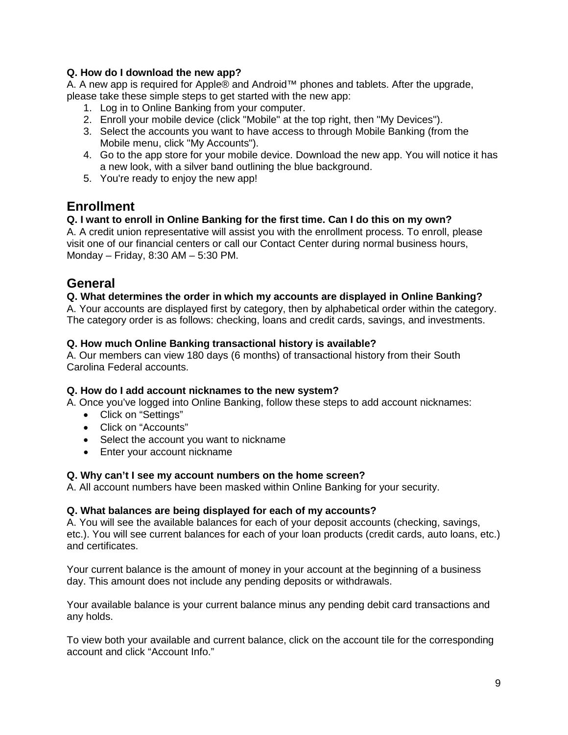# <span id="page-8-0"></span>**Q. How do I download the new app?**

A. A new app is required for Apple® and Android™ phones and tablets. After the upgrade, please take these simple steps to get started with the new app:

- 1. Log in to Online Banking from your computer.
- 2. Enroll your mobile device (click "Mobile" at the top right, then "My Devices").
- 3. Select the accounts you want to have access to through Mobile Banking (from the Mobile menu, click "My Accounts").
- 4. Go to the app store for your mobile device. Download the new app. You will notice it has a new look, with a silver band outlining the blue background.
- 5. You're ready to enjoy the new app!

# <span id="page-8-1"></span>**Enrollment**

# <span id="page-8-2"></span>**Q. I want to enroll in Online Banking for the first time. Can I do this on my own?**

A. A credit union representative will assist you with the enrollment process. To enroll, please visit one of our financial centers or call our Contact Center during normal business hours, Monday – Friday, 8:30 AM – 5:30 PM.

# <span id="page-8-3"></span>**General**

## <span id="page-8-4"></span>**Q. What determines the order in which my accounts are displayed in Online Banking?**

A. Your accounts are displayed first by category, then by alphabetical order within the category. The category order is as follows: checking, loans and credit cards, savings, and investments.

# <span id="page-8-5"></span>**Q. How much Online Banking transactional history is available?**

A. Our members can view 180 days (6 months) of transactional history from their South Carolina Federal accounts.

## <span id="page-8-6"></span>**Q. How do I add account nicknames to the new system?**

A. Once you've logged into Online Banking, follow these steps to add account nicknames:

- Click on "Settings"
- Click on "Accounts"
- Select the account you want to nickname
- Enter your account nickname

## <span id="page-8-7"></span>**Q. Why can't I see my account numbers on the home screen?**

A. All account numbers have been masked within Online Banking for your security.

## <span id="page-8-8"></span>**Q. What balances are being displayed for each of my accounts?**

A. You will see the available balances for each of your deposit accounts (checking, savings, etc.). You will see current balances for each of your loan products (credit cards, auto loans, etc.) and certificates.

Your current balance is the amount of money in your account at the beginning of a business day. This amount does not include any pending deposits or withdrawals.

Your available balance is your current balance minus any pending debit card transactions and any holds.

To view both your available and current balance, click on the account tile for the corresponding account and click "Account Info."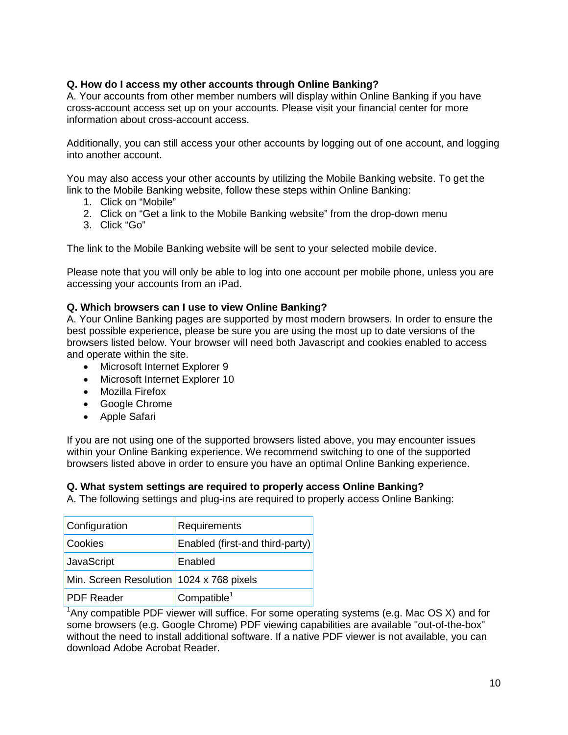# <span id="page-9-0"></span>**Q. How do I access my other accounts through Online Banking?**

A. Your accounts from other member numbers will display within Online Banking if you have cross-account access set up on your accounts. Please visit your financial center for more information about cross-account access.

Additionally, you can still access your other accounts by logging out of one account, and logging into another account.

You may also access your other accounts by utilizing the Mobile Banking website. To get the link to the Mobile Banking website, follow these steps within Online Banking:

- 1. Click on "Mobile"
- 2. Click on "Get a link to the Mobile Banking website" from the drop-down menu
- 3. Click "Go"

The link to the Mobile Banking website will be sent to your selected mobile device.

Please note that you will only be able to log into one account per mobile phone, unless you are accessing your accounts from an iPad.

## <span id="page-9-1"></span>**Q. Which browsers can I use to view Online Banking?**

A. Your Online Banking pages are supported by most modern browsers. In order to ensure the best possible experience, please be sure you are using the most up to date versions of the browsers listed below. Your browser will need both Javascript and cookies enabled to access and operate within the site.

- Microsoft Internet Explorer 9
- Microsoft Internet Explorer 10
- Mozilla Firefox
- Google Chrome
- Apple Safari

If you are not using one of the supported browsers listed above, you may encounter issues within your Online Banking experience. We recommend switching to one of the supported browsers listed above in order to ensure you have an optimal Online Banking experience.

#### <span id="page-9-2"></span>**Q. What system settings are required to properly access Online Banking?**

A. The following settings and plug-ins are required to properly access Online Banking:

| Configuration                            | Requirements                    |
|------------------------------------------|---------------------------------|
| <b>Cookies</b>                           | Enabled (first-and third-party) |
| JavaScript                               | Enabled                         |
| Min. Screen Resolution 1024 x 768 pixels |                                 |
| <b>PDF</b> Reader                        | Compatible <sup>1</sup>         |

<sup>1</sup>Any compatible PDF viewer will suffice. For some operating systems (e.g. Mac OS X) and for some browsers (e.g. Google Chrome) PDF viewing capabilities are available "out-of-the-box" without the need to install additional software. If a native PDF viewer is not available, you can download Adobe Acrobat Reader.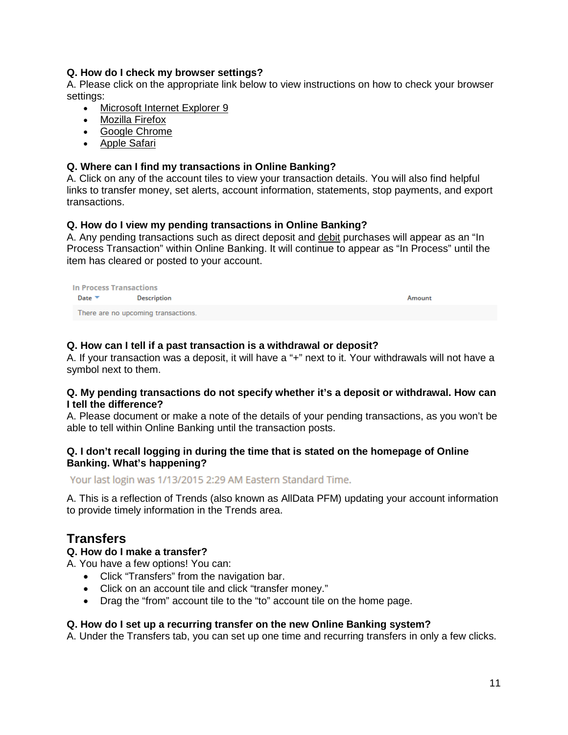## <span id="page-10-0"></span>**Q. How do I check my browser settings?**

A. Please click on the appropriate link below to view instructions on how to check your browser settings:

- [Microsoft Internet Explorer 9](https://www.scfederal.org/~/media/Forms/Browser%20Settings/InternetExplorer9Settings.ashx)
- [Mozilla Firefox](https://www.scfederal.org/~/media/Forms/Browser%20Settings/MozillaFoxfire1802BSettings.ashx)
- [Google Chrome](https://www.scfederal.org/~/media/Forms/Browser%20Settings/Google%20Chrome%20Settings.ashx)
- [Apple Safari](https://www.scfederal.org/~/media/Forms/Browser%20Settings/Safari6Settings.ashx)

#### <span id="page-10-1"></span>**Q. Where can I find my transactions in Online Banking?**

A. Click on any of the account tiles to view your transaction details. You will also find helpful links to transfer money, set alerts, account information, statements, stop payments, and export transactions.

#### <span id="page-10-2"></span>**Q. How do I view my pending transactions in Online Banking?**

A. Any pending transactions such as direct deposit and [debit](https://www.scfederal.org/Personal-Banking/Cards/Debit-Card) purchases will appear as an "In Process Transaction" within Online Banking. It will continue to appear as "In Process" until the item has cleared or posted to your account.

| In Process Transactions   |                                     |        |  |
|---------------------------|-------------------------------------|--------|--|
| Date $\blacktriangledown$ | Description                         | Amount |  |
|                           | There are no upcoming transactions. |        |  |

#### <span id="page-10-3"></span>**Q. How can I tell if a past transaction is a withdrawal or deposit?**

A. If your transaction was a deposit, it will have a "+" next to it. Your withdrawals will not have a symbol next to them.

#### <span id="page-10-4"></span>**Q. My pending transactions do not specify whether it's a deposit or withdrawal. How can I tell the difference?**

A. Please document or make a note of the details of your pending transactions, as you won't be able to tell within Online Banking until the transaction posts.

#### <span id="page-10-5"></span>**Q. I don't recall logging in during the time that is stated on the homepage of Online Banking. What's happening?**

Your last login was 1/13/2015 2:29 AM Eastern Standard Time.

A. This is a reflection of Trends (also known as AllData PFM) updating your account information to provide timely information in the Trends area.

# <span id="page-10-6"></span>**Transfers**

#### <span id="page-10-7"></span>**Q. How do I make a transfer?**

A. You have a few options! You can:

- Click "Transfers" from the navigation bar.
- Click on an account tile and click "transfer money."
- Drag the "from" account tile to the "to" account tile on the home page.

#### <span id="page-10-8"></span>**Q. How do I set up a recurring transfer on the new Online Banking system?**

A. Under the Transfers tab, you can set up one time and recurring transfers in only a few clicks.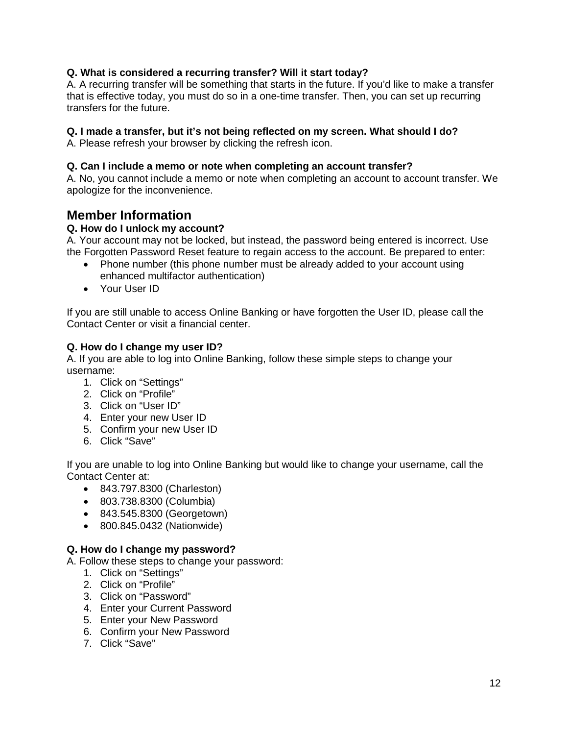# <span id="page-11-0"></span>**Q. What is considered a recurring transfer? Will it start today?**

A. A recurring transfer will be something that starts in the future. If you'd like to make a transfer that is effective today, you must do so in a one-time transfer. Then, you can set up recurring transfers for the future.

## <span id="page-11-1"></span>**Q. I made a transfer, but it's not being reflected on my screen. What should I do?**

A. Please refresh your browser by clicking the refresh icon.

## <span id="page-11-2"></span>**Q. Can I include a memo or note when completing an account transfer?**

A. No, you cannot include a memo or note when completing an account to account transfer. We apologize for the inconvenience.

# <span id="page-11-3"></span>**Member Information**

# <span id="page-11-4"></span>**Q. How do I unlock my account?**

A. Your account may not be locked, but instead, the password being entered is incorrect. Use the Forgotten Password Reset feature to regain access to the account. Be prepared to enter:

- Phone number (this phone number must be already added to your account using enhanced multifactor authentication)
- Your User ID

If you are still unable to access Online Banking or have forgotten the User ID, please call the Contact Center or visit a financial center.

# <span id="page-11-5"></span>**Q. How do I change my user ID?**

A. If you are able to log into Online Banking, follow these simple steps to change your username:

- 1. Click on "Settings"
- 2. Click on "Profile"
- 3. Click on "User ID"
- 4. Enter your new User ID
- 5. Confirm your new User ID
- 6. Click "Save"

If you are unable to log into Online Banking but would like to change your username, call the Contact Center at:

- 843.797.8300 (Charleston)
- 803.738.8300 (Columbia)
- 843.545.8300 (Georgetown)
- 800.845.0432 (Nationwide)

# <span id="page-11-6"></span>**Q. How do I change my password?**

- A. Follow these steps to change your password:
	- 1. Click on "Settings"
	- 2. Click on "Profile"
	- 3. Click on "Password"
	- 4. Enter your Current Password
	- 5. Enter your New Password
	- 6. Confirm your New Password
	- 7. Click "Save"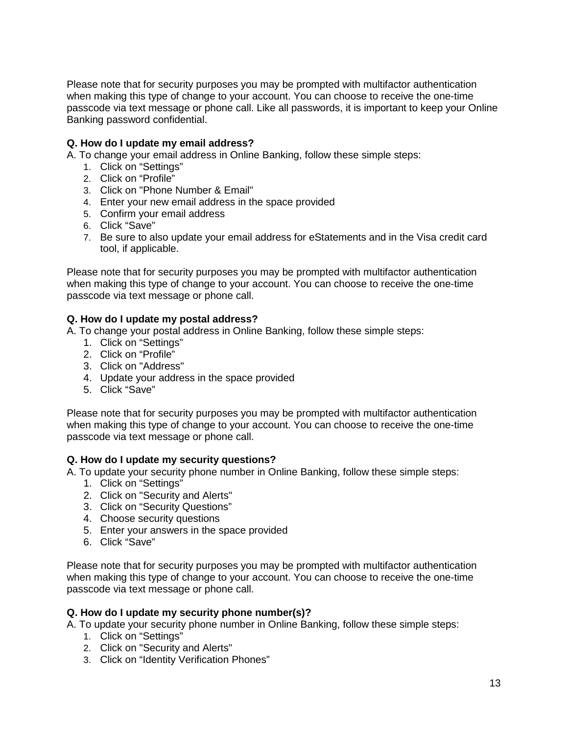Please note that for security purposes you may be prompted with multifactor authentication when making this type of change to your account. You can choose to receive the one-time passcode via text message or phone call. Like all passwords, it is important to keep your Online Banking password confidential.

# <span id="page-12-0"></span>**Q. How do I update my email address?**

A. To change your email address in Online Banking, follow these simple steps:

- 1. Click on "Settings"
- 2. Click on "Profile"
- 3. Click on "Phone Number & Email"
- 4. Enter your new email address in the space provided
- 5. Confirm your email address
- 6. Click "Save"
- 7. Be sure to also update your email address for eStatements and in the Visa credit card tool, if applicable.

Please note that for security purposes you may be prompted with multifactor authentication when making this type of change to your account. You can choose to receive the one-time passcode via text message or phone call.

## <span id="page-12-1"></span>**Q. How do I update my postal address?**

A. To change your postal address in Online Banking, follow these simple steps:

- 1. Click on "Settings"
- 2. Click on "Profile"
- 3. Click on "Address"
- 4. Update your address in the space provided
- 5. Click "Save"

Please note that for security purposes you may be prompted with multifactor authentication when making this type of change to your account. You can choose to receive the one-time passcode via text message or phone call.

#### <span id="page-12-2"></span>**Q. How do I update my security questions?**

A. To update your security phone number in Online Banking, follow these simple steps:

- 1. Click on "Settings"
- 2. Click on "Security and Alerts"
- 3. Click on "Security Questions"
- 4. Choose security questions
- 5. Enter your answers in the space provided
- 6. Click "Save"

Please note that for security purposes you may be prompted with multifactor authentication when making this type of change to your account. You can choose to receive the one-time passcode via text message or phone call.

#### <span id="page-12-3"></span>**Q. How do I update my security phone number(s)?**

A. To update your security phone number in Online Banking, follow these simple steps:

- 1. Click on "Settings"
- 2. Click on "Security and Alerts"
- 3. Click on "Identity Verification Phones"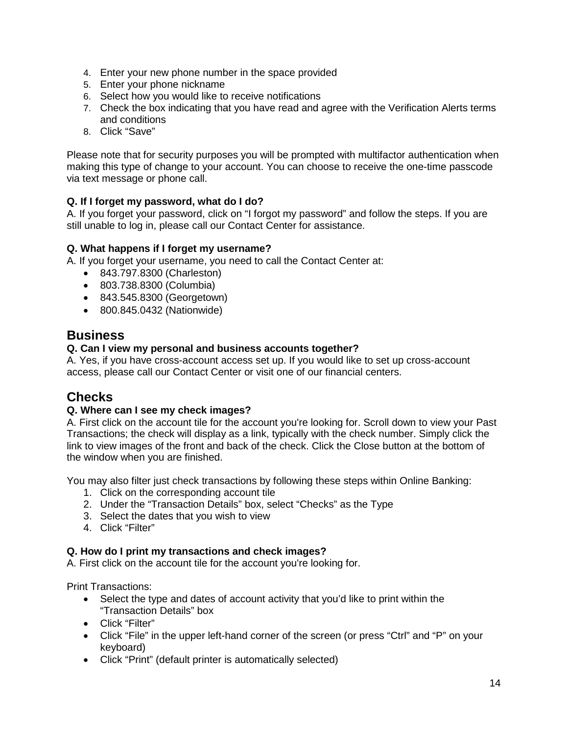- 4. Enter your new phone number in the space provided
- 5. Enter your phone nickname
- 6. Select how you would like to receive notifications
- 7. Check the box indicating that you have read and agree with the Verification Alerts terms and conditions
- 8. Click "Save"

Please note that for security purposes you will be prompted with multifactor authentication when making this type of change to your account. You can choose to receive the one-time passcode via text message or phone call.

# <span id="page-13-0"></span>**Q. If I forget my password, what do I do?**

A. If you forget your password, click on "I forgot my password" and follow the steps. If you are still unable to log in, please call our Contact Center for assistance.

# <span id="page-13-1"></span>**Q. What happens if I forget my username?**

A. If you forget your username, you need to call the Contact Center at:

- 843.797.8300 (Charleston)
- 803.738.8300 (Columbia)
- 843.545.8300 (Georgetown)
- 800.845.0432 (Nationwide)

# <span id="page-13-2"></span>**Business**

# <span id="page-13-3"></span>**Q. Can I view my personal and business accounts together?**

A. Yes, if you have cross-account access set up. If you would like to set up cross-account access, please call our Contact Center or visit one of our financial centers.

# <span id="page-13-4"></span>**Checks**

## <span id="page-13-5"></span>**Q. Where can I see my check images?**

A. First click on the account tile for the account you're looking for. Scroll down to view your Past Transactions; the check will display as a link, typically with the check number. Simply click the link to view images of the front and back of the check. Click the Close button at the bottom of the window when you are finished.

You may also filter just check transactions by following these steps within Online Banking:

- 1. Click on the corresponding account tile
- 2. Under the "Transaction Details" box, select "Checks" as the Type
- 3. Select the dates that you wish to view
- 4. Click "Filter"

## <span id="page-13-6"></span>**Q. How do I print my transactions and check images?**

A. First click on the account tile for the account you're looking for.

Print Transactions:

- Select the type and dates of account activity that you'd like to print within the "Transaction Details" box
- Click "Filter"
- Click "File" in the upper left-hand corner of the screen (or press "Ctrl" and "P" on your keyboard)
- Click "Print" (default printer is automatically selected)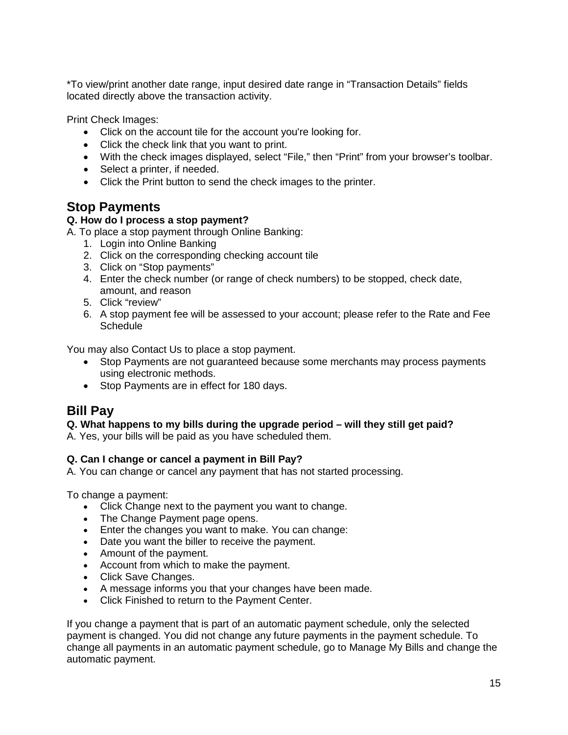\*To view/print another date range, input desired date range in "Transaction Details" fields located directly above the transaction activity.

Print Check Images:

- Click on the account tile for the account you're looking for.
- Click the check link that you want to print.
- With the check images displayed, select "File," then "Print" from your browser's toolbar.
- Select a printer, if needed.
- Click the Print button to send the check images to the printer.

# <span id="page-14-0"></span>**Stop Payments**

# <span id="page-14-1"></span>**Q. How do I process a stop payment?**

A. To place a stop payment through Online Banking:

- 1. Login into Online Banking
- 2. Click on the corresponding checking account tile
- 3. Click on "Stop payments"
- 4. Enter the check number (or range of check numbers) to be stopped, check date, amount, and reason
- 5. Click "review"
- 6. A stop payment fee will be assessed to your account; please refer to the Rate and Fee **Schedule**

You may also Contact Us to place a stop payment.

- Stop Payments are not guaranteed because some merchants may process payments using electronic methods.
- Stop Payments are in effect for 180 days.

# <span id="page-14-2"></span>**Bill Pay**

## <span id="page-14-3"></span>**Q. What happens to my bills during the upgrade period – will they still get paid?**

A. Yes, your bills will be paid as you have scheduled them.

## <span id="page-14-4"></span>**Q. Can I change or cancel a payment in Bill Pay?**

A. You can change or cancel any payment that has not started processing.

To change a payment:

- Click Change next to the payment you want to change.
- The Change Payment page opens.
- Enter the changes you want to make. You can change:
- Date you want the biller to receive the payment.
- Amount of the payment.
- Account from which to make the payment.
- Click Save Changes.
- A message informs you that your changes have been made.
- Click Finished to return to the Payment Center.

If you change a payment that is part of an automatic payment schedule, only the selected payment is changed. You did not change any future payments in the payment schedule. To change all payments in an automatic payment schedule, go to Manage My Bills and change the automatic payment.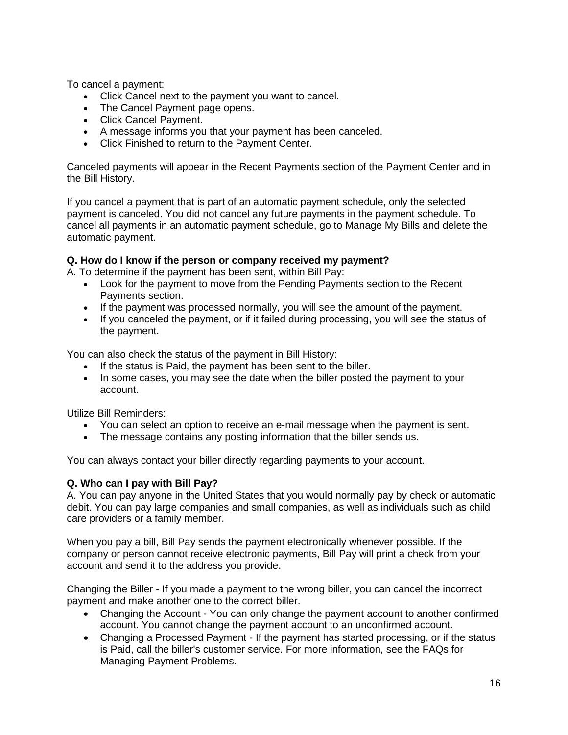To cancel a payment:

- Click Cancel next to the payment you want to cancel.
- The Cancel Payment page opens.
- Click Cancel Payment.
- A message informs you that your payment has been canceled.
- Click Finished to return to the Payment Center.

Canceled payments will appear in the Recent Payments section of the Payment Center and in the Bill History.

If you cancel a payment that is part of an automatic payment schedule, only the selected payment is canceled. You did not cancel any future payments in the payment schedule. To cancel all payments in an automatic payment schedule, go to Manage My Bills and delete the automatic payment.

## <span id="page-15-0"></span>**Q. How do I know if the person or company received my payment?**

A. To determine if the payment has been sent, within Bill Pay:

- Look for the payment to move from the Pending Payments section to the Recent Payments section.
- If the payment was processed normally, you will see the amount of the payment.
- If you canceled the payment, or if it failed during processing, you will see the status of the payment.

You can also check the status of the payment in Bill History:

- If the status is Paid, the payment has been sent to the biller.
- In some cases, you may see the date when the biller posted the payment to your account.

Utilize Bill Reminders:

- You can select an option to receive an e-mail message when the payment is sent.
- The message contains any posting information that the biller sends us.

You can always contact your biller directly regarding payments to your account.

## <span id="page-15-1"></span>**Q. Who can I pay with Bill Pay?**

A. You can pay anyone in the United States that you would normally pay by check or automatic debit. You can pay large companies and small companies, as well as individuals such as child care providers or a family member.

When you pay a bill, Bill Pay sends the payment electronically whenever possible. If the company or person cannot receive electronic payments, Bill Pay will print a check from your account and send it to the address you provide.

Changing the Biller - If you made a payment to the wrong biller, you can cancel the incorrect payment and make another one to the correct biller.

- Changing the Account You can only change the payment account to another confirmed account. You cannot change the payment account to an unconfirmed account.
- Changing a Processed Payment If the payment has started processing, or if the status is Paid, call the biller's customer service. For more information, see the FAQs for Managing Payment Problems.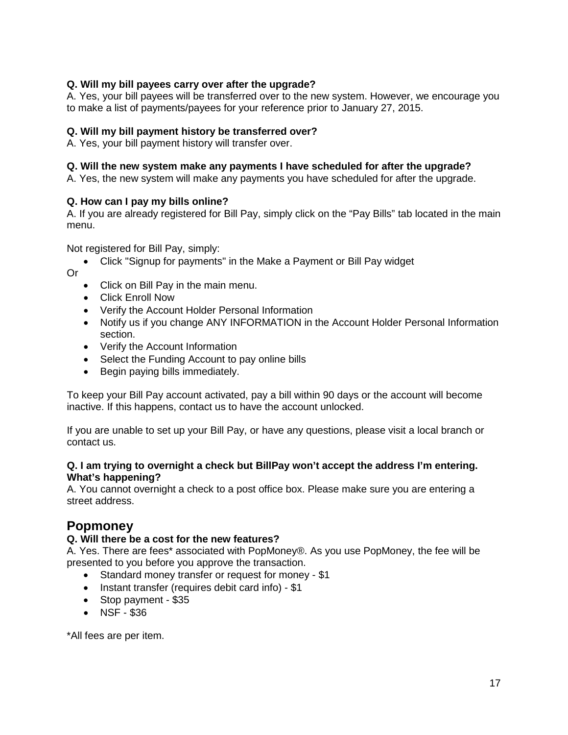# <span id="page-16-0"></span>**Q. Will my bill payees carry over after the upgrade?**

A. Yes, your bill payees will be transferred over to the new system. However, we encourage you to make a list of payments/payees for your reference prior to January 27, 2015.

## <span id="page-16-1"></span>**Q. Will my bill payment history be transferred over?**

A. Yes, your bill payment history will transfer over.

## <span id="page-16-2"></span>**Q. Will the new system make any payments I have scheduled for after the upgrade?**

A. Yes, the new system will make any payments you have scheduled for after the upgrade.

## <span id="page-16-3"></span>**Q. How can I pay my bills online?**

A. If you are already registered for Bill Pay, simply click on the "Pay Bills" tab located in the main menu.

Not registered for Bill Pay, simply:

• Click "Signup for payments" in the Make a Payment or Bill Pay widget

Or

- Click on Bill Pay in the main menu.
- Click Enroll Now
- Verify the Account Holder Personal Information
- Notify us if you change ANY INFORMATION in the Account Holder Personal Information section.
- Verify the Account Information
- Select the Funding Account to pay online bills
- Begin paying bills immediately.

To keep your Bill Pay account activated, pay a bill within 90 days or the account will become inactive. If this happens, contact us to have the account unlocked.

If you are unable to set up your Bill Pay, or have any questions, please visit a local branch or contact us.

#### <span id="page-16-4"></span>**Q. I am trying to overnight a check but BillPay won't accept the address I'm entering. What's happening?**

A. You cannot overnight a check to a post office box. Please make sure you are entering a street address.

# <span id="page-16-5"></span>**Popmoney**

# <span id="page-16-6"></span>**Q. Will there be a cost for the new features?**

A. Yes. There are fees\* associated with PopMoney®. As you use PopMoney, the fee will be presented to you before you approve the transaction.

- Standard money transfer or request for money \$1
- Instant transfer (requires debit card info) \$1
- Stop payment \$35
- NSF \$36

\*All fees are per item.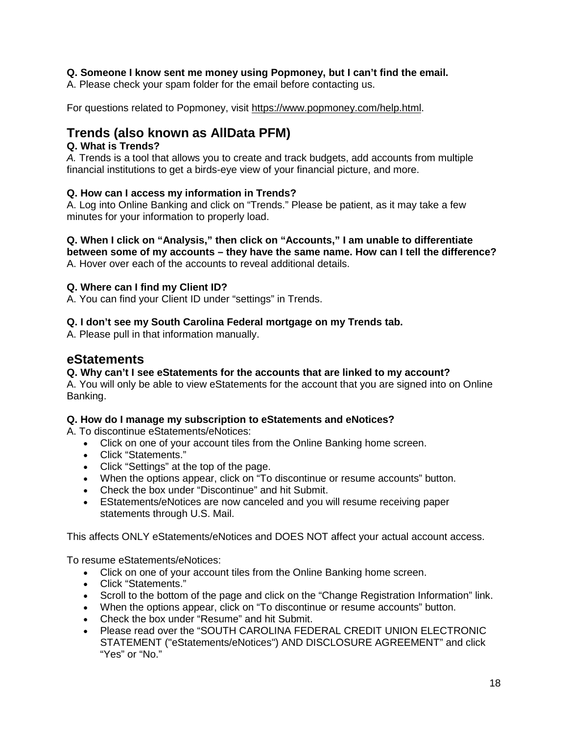## <span id="page-17-0"></span>**Q. Someone I know sent me money using Popmoney, but I can't find the email.**

A. Please check your spam folder for the email before contacting us.

For questions related to Popmoney, visit [https://www.popmoney.com/help.html.](https://www.popmoney.com/help.html)

# <span id="page-17-1"></span>**Trends (also known as AllData PFM)**

## <span id="page-17-2"></span>**Q. What is Trends?**

*A.* Trends is a tool that allows you to create and track budgets, add accounts from multiple financial institutions to get a birds-eye view of your financial picture, and more.

# <span id="page-17-3"></span>**Q. How can I access my information in Trends?**

A. Log into Online Banking and click on "Trends." Please be patient, as it may take a few minutes for your information to properly load.

<span id="page-17-4"></span>**Q. When I click on "Analysis," then click on "Accounts," I am unable to differentiate between some of my accounts – they have the same name. How can I tell the difference?** A. Hover over each of the accounts to reveal additional details.

# <span id="page-17-5"></span>**Q. Where can I find my Client ID?**

A. You can find your Client ID under "settings" in Trends.

# <span id="page-17-6"></span>**Q. I don't see my South Carolina Federal mortgage on my Trends tab.**

A. Please pull in that information manually.

# <span id="page-17-7"></span>**eStatements**

## <span id="page-17-8"></span>**Q. Why can't I see eStatements for the accounts that are linked to my account?**

A. You will only be able to view eStatements for the account that you are signed into on Online Banking.

## <span id="page-17-9"></span>**Q. How do I manage my subscription to eStatements and eNotices?**

A. To discontinue eStatements/eNotices:

- Click on one of your account tiles from the Online Banking home screen.
- Click "Statements."
- Click "Settings" at the top of the page.
- When the options appear, click on "To discontinue or resume accounts" button.
- Check the box under "Discontinue" and hit Submit.
- EStatements/eNotices are now canceled and you will resume receiving paper statements through U.S. Mail.

This affects ONLY eStatements/eNotices and DOES NOT affect your actual account access.

To resume eStatements/eNotices:

- Click on one of your account tiles from the Online Banking home screen.
- Click "Statements."
- Scroll to the bottom of the page and click on the "Change Registration Information" link.
- When the options appear, click on "To discontinue or resume accounts" button.
- Check the box under "Resume" and hit Submit.
- Please read over the "SOUTH CAROLINA FEDERAL CREDIT UNION ELECTRONIC STATEMENT ("eStatements/eNotices") AND DISCLOSURE AGREEMENT" and click "Yes" or "No."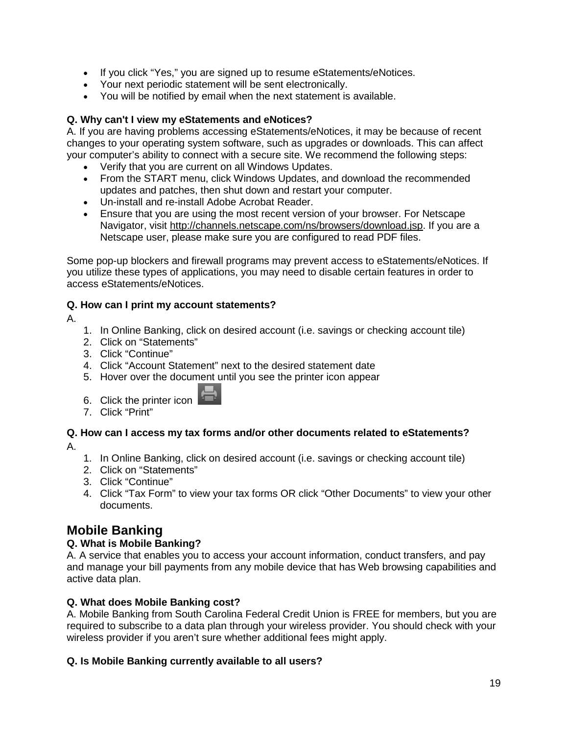- If you click "Yes," you are signed up to resume eStatements/eNotices.
- Your next periodic statement will be sent electronically.
- You will be notified by email when the next statement is available.

# <span id="page-18-0"></span>**Q. Why can't I view my eStatements and eNotices?**

A. If you are having problems accessing eStatements/eNotices, it may be because of recent changes to your operating system software, such as upgrades or downloads. This can affect your computer's ability to connect with a secure site. We recommend the following steps:

- Verify that you are current on all Windows Updates.
- From the START menu, click Windows Updates, and download the recommended updates and patches, then shut down and restart your computer.
- Un-install and re-install Adobe Acrobat Reader.
- Ensure that you are using the most recent version of your browser. For Netscape Navigator, visit [http://channels.netscape.com/ns/browsers/download.jsp.](http://channels.netscape.com/ns/browsers/download.jsp) If you are a Netscape user, please make sure you are configured to read PDF files.

Some pop-up blockers and firewall programs may prevent access to eStatements/eNotices. If you utilize these types of applications, you may need to disable certain features in order to access eStatements/eNotices.

# <span id="page-18-1"></span>**Q. How can I print my account statements?**

A.

- 1. In Online Banking, click on desired account (i.e. savings or checking account tile)
- 2. Click on "Statements"
- 3. Click "Continue"
- 4. Click "Account Statement" next to the desired statement date
- 5. Hover over the document until you see the printer icon appear
- 6. Click the printer icon
- 7. Click "Print"

# <span id="page-18-2"></span>**Q. How can I access my tax forms and/or other documents related to eStatements?**

A.

- 1. In Online Banking, click on desired account (i.e. savings or checking account tile)
- 2. Click on "Statements"
- 3. Click "Continue"
- 4. Click "Tax Form" to view your tax forms OR click "Other Documents" to view your other documents.

# <span id="page-18-3"></span>**Mobile Banking**

# <span id="page-18-4"></span>**Q. What is Mobile Banking?**

A. A service that enables you to access your account information, conduct transfers, and pay and manage your bill payments from any mobile device that has Web browsing capabilities and active data plan.

# **Q. What does Mobile Banking cost?**

A. Mobile Banking from South Carolina Federal Credit Union is FREE for members, but you are required to subscribe to a data plan through your wireless provider. You should check with your wireless provider if you aren't sure whether additional fees might apply.

# **Q. Is Mobile Banking currently available to all users?**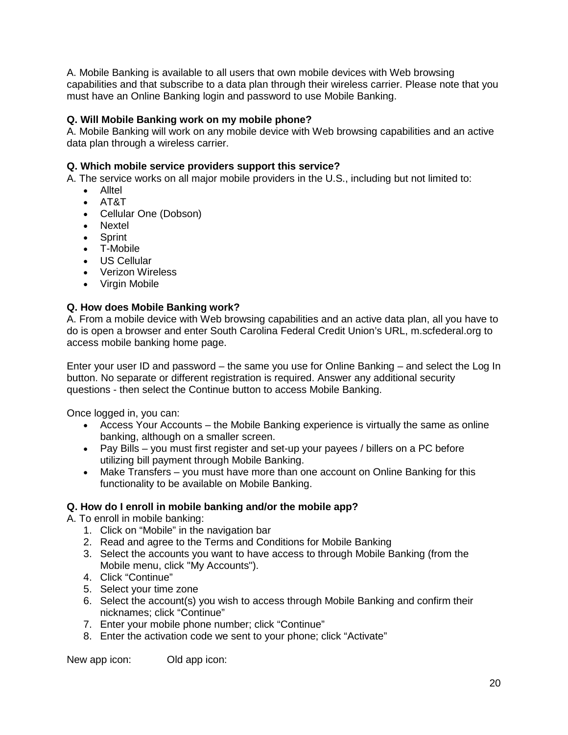A. Mobile Banking is available to all users that own mobile devices with Web browsing capabilities and that subscribe to a data plan through their wireless carrier. Please note that you must have an Online Banking login and password to use Mobile Banking.

# **Q. Will Mobile Banking work on my mobile phone?**

A. Mobile Banking will work on any mobile device with Web browsing capabilities and an active data plan through a wireless carrier.

# **Q. Which mobile service providers support this service?**

A. The service works on all major mobile providers in the U.S., including but not limited to:

- Alltel
- AT&T
- Cellular One (Dobson)
- Nextel
- Sprint
- T-Mobile
- US Cellular
- Verizon Wireless
- Virgin Mobile

# <span id="page-19-0"></span>**Q. How does Mobile Banking work?**

A. From a mobile device with Web browsing capabilities and an active data plan, all you have to do is open a browser and enter South Carolina Federal Credit Union's URL, m.scfederal.org to access mobile banking home page.

Enter your user ID and password – the same you use for Online Banking – and select the Log In button. No separate or different registration is required. Answer any additional security questions - then select the Continue button to access Mobile Banking.

Once logged in, you can:

- Access Your Accounts the Mobile Banking experience is virtually the same as online banking, although on a smaller screen.
- Pay Bills you must first register and set-up your payees / billers on a PC before utilizing bill payment through Mobile Banking.
- Make Transfers you must have more than one account on Online Banking for this functionality to be available on Mobile Banking.

## <span id="page-19-1"></span>**Q. How do I enroll in mobile banking and/or the mobile app?**

A. To enroll in mobile banking:

- 1. Click on "Mobile" in the navigation bar
- 2. Read and agree to the Terms and Conditions for Mobile Banking
- 3. Select the accounts you want to have access to through Mobile Banking (from the Mobile menu, click "My Accounts").
- 4. Click "Continue"
- 5. Select your time zone
- 6. Select the account(s) you wish to access through Mobile Banking and confirm their nicknames; click "Continue"
- 7. Enter your mobile phone number; click "Continue"
- 8. Enter the activation code we sent to your phone; click "Activate"

New app icon: Old app icon: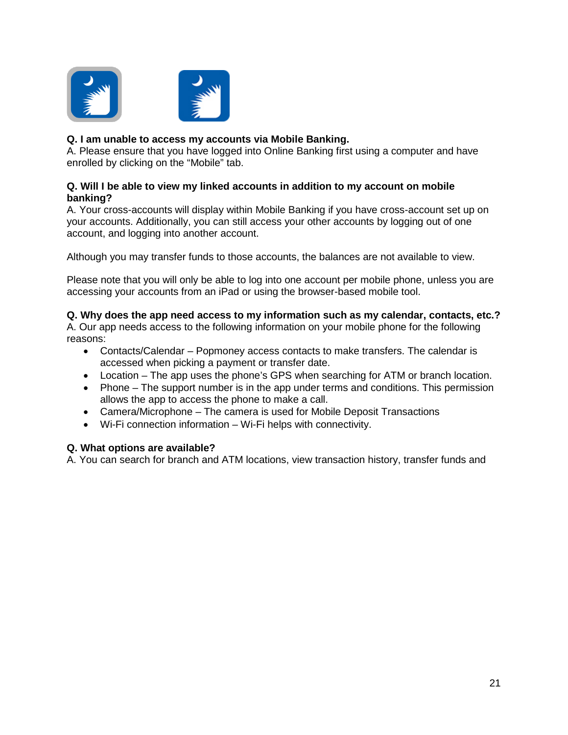

## <span id="page-20-0"></span>**Q. I am unable to access my accounts via Mobile Banking.**

A. Please ensure that you have logged into Online Banking first using a computer and have enrolled by clicking on the "Mobile" tab.

#### <span id="page-20-1"></span>**Q. Will I be able to view my linked accounts in addition to my account on mobile banking?**

A. Your cross-accounts will display within Mobile Banking if you have cross-account set up on your accounts. Additionally, you can still access your other accounts by logging out of one account, and logging into another account.

Although you may transfer funds to those accounts, the balances are not available to view.

Please note that you will only be able to log into one account per mobile phone, unless you are accessing your accounts from an iPad or using the browser-based mobile tool.

## <span id="page-20-2"></span>**Q. Why does the app need access to my information such as my calendar, contacts, etc.?**

A. Our app needs access to the following information on your mobile phone for the following reasons:

- Contacts/Calendar Popmoney access contacts to make transfers. The calendar is accessed when picking a payment or transfer date.
- Location The app uses the phone's GPS when searching for ATM or branch location.
- Phone The support number is in the app under terms and conditions. This permission allows the app to access the phone to make a call.
- Camera/Microphone The camera is used for Mobile Deposit Transactions
- Wi-Fi connection information Wi-Fi helps with connectivity.

#### <span id="page-20-3"></span>**Q. What options are available?**

A. You can search for branch and ATM locations, view transaction history, transfer funds and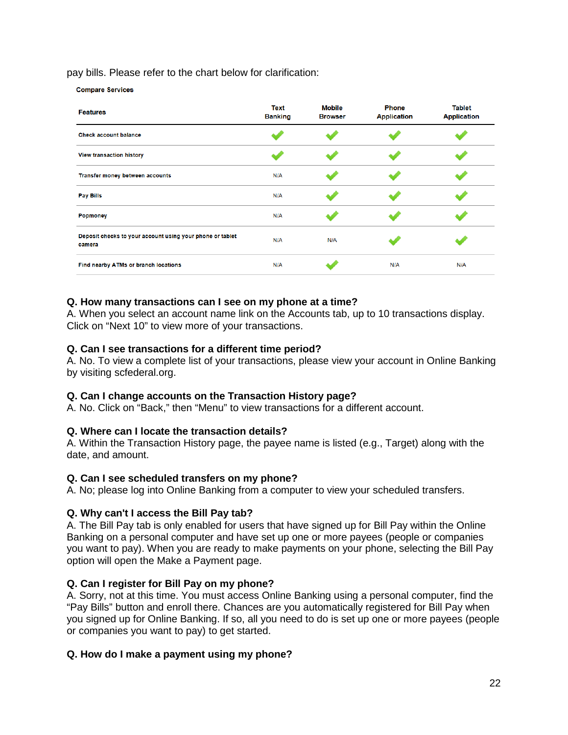pay bills. Please refer to the chart below for clarification:

**Compare Services** 

| <b>Features</b>                                                     | <b>Text</b><br><b>Banking</b> | <b>Mobile</b><br><b>Browser</b> | <b>Phone</b><br><b>Application</b> | <b>Tablet</b><br><b>Application</b> |
|---------------------------------------------------------------------|-------------------------------|---------------------------------|------------------------------------|-------------------------------------|
| <b>Check account balance</b>                                        |                               |                                 |                                    |                                     |
| <b>View transaction history</b>                                     |                               |                                 |                                    |                                     |
| Transfer money between accounts                                     | N/A                           |                                 |                                    |                                     |
| <b>Pay Bills</b>                                                    | N/A                           |                                 |                                    |                                     |
| Popmoney                                                            | N/A                           |                                 |                                    |                                     |
| Deposit checks to your account using your phone or tablet<br>camera | N/A                           | N/A                             |                                    |                                     |
| Find nearby ATMs or branch locations                                | N/A                           |                                 | N/A                                | N/A                                 |

## <span id="page-21-0"></span>**Q. How many transactions can I see on my phone at a time?**

A. When you select an account name link on the Accounts tab, up to 10 transactions display. Click on "Next 10" to view more of your transactions.

## **Q. Can I see transactions for a different time period?**

A. No. To view a complete list of your transactions, please view your account in Online Banking by visiting scfederal.org.

## **Q. Can I change accounts on the Transaction History page?**

A. No. Click on "Back," then "Menu" to view transactions for a different account.

## **Q. Where can I locate the transaction details?**

A. Within the Transaction History page, the payee name is listed (e.g., Target) along with the date, and amount.

## <span id="page-21-1"></span>**Q. Can I see scheduled transfers on my phone?**

A. No; please log into Online Banking from a computer to view your scheduled transfers.

## **Q. Why can't I access the Bill Pay tab?**

A. The Bill Pay tab is only enabled for users that have signed up for Bill Pay within the Online Banking on a personal computer and have set up one or more payees (people or companies you want to pay). When you are ready to make payments on your phone, selecting the Bill Pay option will open the Make a Payment page.

## <span id="page-21-2"></span>**Q. Can I register for Bill Pay on my phone?**

A. Sorry, not at this time. You must access Online Banking using a personal computer, find the "Pay Bills" button and enroll there. Chances are you automatically registered for Bill Pay when you signed up for Online Banking. If so, all you need to do is set up one or more payees (people or companies you want to pay) to get started.

## **Q. How do I make a payment using my phone?**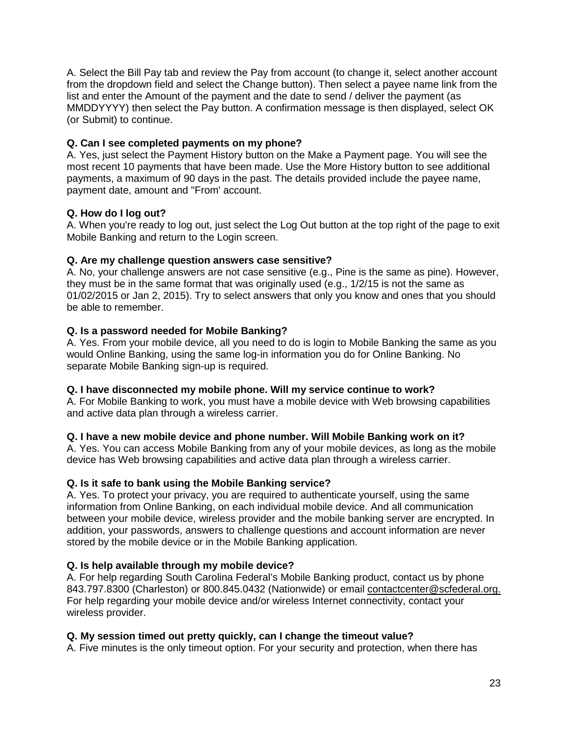A. Select the Bill Pay tab and review the Pay from account (to change it, select another account from the dropdown field and select the Change button). Then select a payee name link from the list and enter the Amount of the payment and the date to send / deliver the payment (as MMDDYYYY) then select the Pay button. A confirmation message is then displayed, select OK (or Submit) to continue.

# **Q. Can I see completed payments on my phone?**

A. Yes, just select the Payment History button on the Make a Payment page. You will see the most recent 10 payments that have been made. Use the More History button to see additional payments, a maximum of 90 days in the past. The details provided include the payee name, payment date, amount and "From' account.

# **Q. How do I log out?**

A. When you're ready to log out, just select the Log Out button at the top right of the page to exit Mobile Banking and return to the Login screen.

## **Q. Are my challenge question answers case sensitive?**

A. No, your challenge answers are not case sensitive (e.g., Pine is the same as pine). However, they must be in the same format that was originally used (e.g., 1/2/15 is not the same as 01/02/2015 or Jan 2, 2015). Try to select answers that only you know and ones that you should be able to remember.

# **Q. Is a password needed for Mobile Banking?**

A. Yes. From your mobile device, all you need to do is login to Mobile Banking the same as you would Online Banking, using the same log-in information you do for Online Banking. No separate Mobile Banking sign-up is required.

## **Q. I have disconnected my mobile phone. Will my service continue to work?**

A. For Mobile Banking to work, you must have a mobile device with Web browsing capabilities and active data plan through a wireless carrier.

## **Q. I have a new mobile device and phone number. Will Mobile Banking work on it?**

A. Yes. You can access Mobile Banking from any of your mobile devices, as long as the mobile device has Web browsing capabilities and active data plan through a wireless carrier.

## **Q. Is it safe to bank using the Mobile Banking service?**

A. Yes. To protect your privacy, you are required to authenticate yourself, using the same information from Online Banking, on each individual mobile device. And all communication between your mobile device, wireless provider and the mobile banking server are encrypted. In addition, your passwords, answers to challenge questions and account information are never stored by the mobile device or in the Mobile Banking application.

## **Q. Is help available through my mobile device?**

A. For help regarding South Carolina Federal's Mobile Banking product, contact us by phone 843.797.8300 (Charleston) or 800.845.0432 (Nationwide) or email [contactcenter@scfederal.org.](mailto:contactcenter@scfederal.org?subject=Help%20Regarding%20Mobile%20Banking%20Product) For help regarding your mobile device and/or wireless Internet connectivity, contact your wireless provider.

## **Q. My session timed out pretty quickly, can I change the timeout value?**

A. Five minutes is the only timeout option. For your security and protection, when there has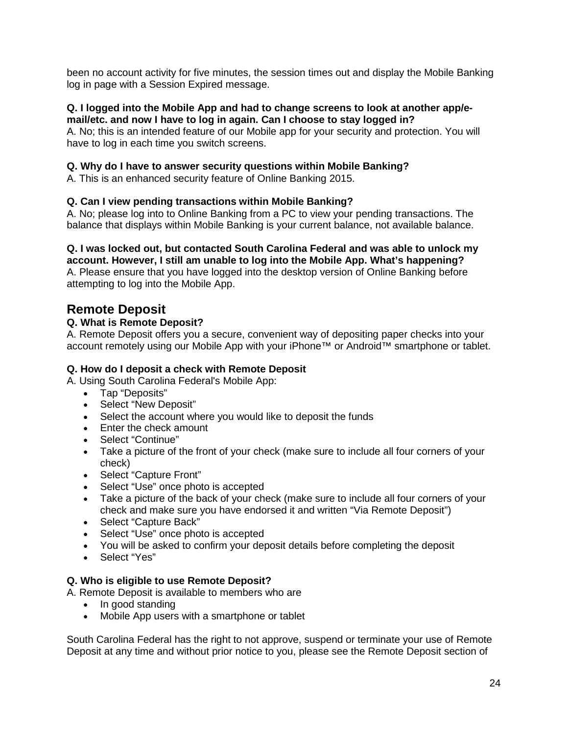been no account activity for five minutes, the session times out and display the Mobile Banking log in page with a Session Expired message.

#### <span id="page-23-0"></span>**Q. I logged into the Mobile App and had to change screens to look at another app/email/etc. and now I have to log in again. Can I choose to stay logged in?**

A. No; this is an intended feature of our Mobile app for your security and protection. You will have to log in each time you switch screens.

## <span id="page-23-1"></span>**Q. Why do I have to answer security questions within Mobile Banking?**

A. This is an enhanced security feature of Online Banking 2015.

# <span id="page-23-2"></span>**Q. Can I view pending transactions within Mobile Banking?**

A. No; please log into to Online Banking from a PC to view your pending transactions. The balance that displays within Mobile Banking is your current balance, not available balance.

# <span id="page-23-3"></span>**Q. I was locked out, but contacted South Carolina Federal and was able to unlock my**

**account. However, I still am unable to log into the Mobile App. What's happening?** A. Please ensure that you have logged into the desktop version of Online Banking before attempting to log into the Mobile App.

# <span id="page-23-4"></span>**Remote Deposit**

# <span id="page-23-5"></span>**Q. What is Remote Deposit?**

A. Remote Deposit offers you a secure, convenient way of depositing paper checks into your account remotely using our Mobile App with your iPhone™ or Android™ smartphone or tablet.

## **Q. How do I deposit a check with Remote Deposit**

A. Using South Carolina Federal's Mobile App:

- Tap "Deposits"
- Select "New Deposit"
- Select the account where you would like to deposit the funds
- Enter the check amount
- Select "Continue"
- Take a picture of the front of your check (make sure to include all four corners of your check)
- Select "Capture Front"
- Select "Use" once photo is accepted
- Take a picture of the back of your check (make sure to include all four corners of your check and make sure you have endorsed it and written "Via Remote Deposit")
- Select "Capture Back"
- Select "Use" once photo is accepted
- You will be asked to confirm your deposit details before completing the deposit
- Select "Yes"

## <span id="page-23-6"></span>**Q. Who is eligible to use Remote Deposit?**

A. Remote Deposit is available to members who are

- In good standing
- Mobile App users with a smartphone or tablet

South Carolina Federal has the right to not approve, suspend or terminate your use of Remote Deposit at any time and without prior notice to you, please see the Remote Deposit section of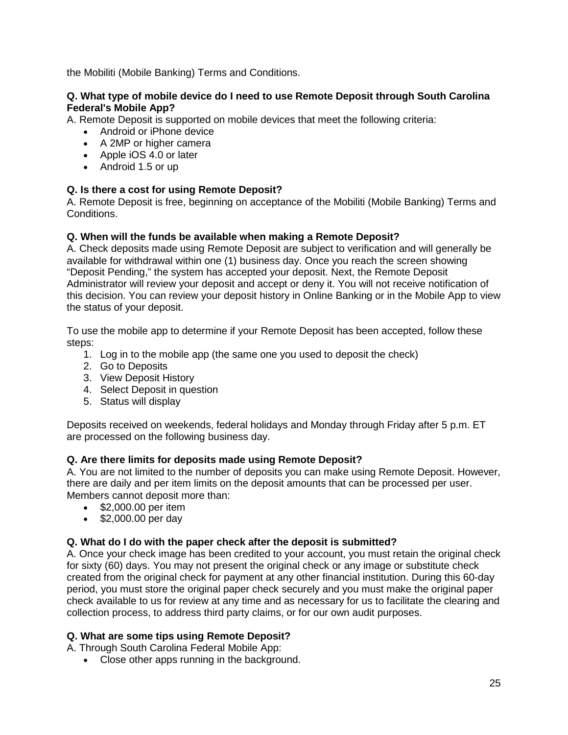the Mobiliti (Mobile Banking) Terms and Conditions.

## **Q. What type of mobile device do I need to use Remote Deposit through South Carolina Federal's Mobile App?**

A. Remote Deposit is supported on mobile devices that meet the following criteria:

- Android or iPhone device
- A 2MP or higher camera
- Apple iOS 4.0 or later
- Android 1.5 or up

# <span id="page-24-0"></span>**Q. Is there a cost for using Remote Deposit?**

A. Remote Deposit is free, beginning on acceptance of the Mobiliti (Mobile Banking) Terms and Conditions.

# **Q. When will the funds be available when making a Remote Deposit?**

A. Check deposits made using Remote Deposit are subject to verification and will generally be available for withdrawal within one (1) business day. Once you reach the screen showing "Deposit Pending," the system has accepted your deposit. Next, the Remote Deposit Administrator will review your deposit and accept or deny it. You will not receive notification of this decision. You can review your deposit history in Online Banking or in the Mobile App to view the status of your deposit.

To use the mobile app to determine if your Remote Deposit has been accepted, follow these steps:

- 1. Log in to the mobile app (the same one you used to deposit the check)
- 2. Go to Deposits
- 3. View Deposit History
- 4. Select Deposit in question
- 5. Status will display

Deposits received on weekends, federal holidays and Monday through Friday after 5 p.m. ET are processed on the following business day.

## <span id="page-24-1"></span>**Q. Are there limits for deposits made using Remote Deposit?**

A. You are not limited to the number of deposits you can make using Remote Deposit. However, there are daily and per item limits on the deposit amounts that can be processed per user. Members cannot deposit more than:

- \$2,000,00 per item
- \$2,000.00 per day

## <span id="page-24-2"></span>**Q. What do I do with the paper check after the deposit is submitted?**

A. Once your check image has been credited to your account, you must retain the original check for sixty (60) days. You may not present the original check or any image or substitute check created from the original check for payment at any other financial institution. During this 60-day period, you must store the original paper check securely and you must make the original paper check available to us for review at any time and as necessary for us to facilitate the clearing and collection process, to address third party claims, or for our own audit purposes.

## **Q. What are some tips using Remote Deposit?**

A. Through South Carolina Federal Mobile App:

• Close other apps running in the background.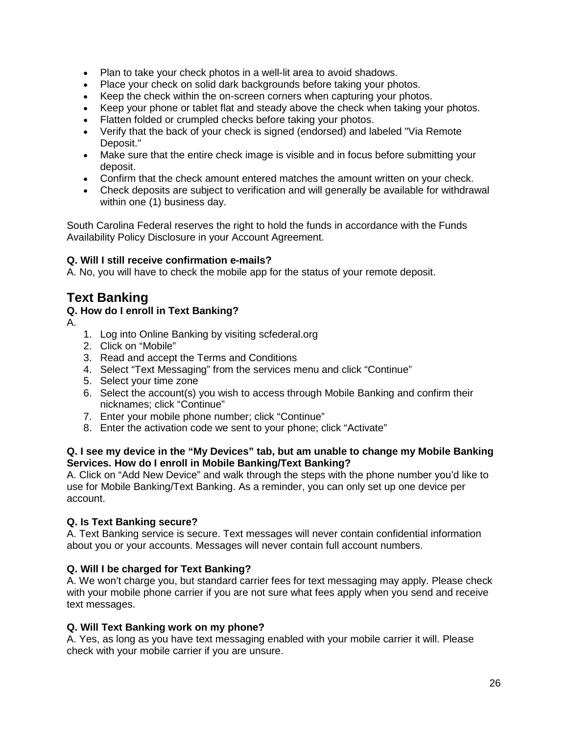- Plan to take your check photos in a well-lit area to avoid shadows.
- Place your check on solid dark backgrounds before taking your photos.
- Keep the check within the on-screen corners when capturing your photos.
- Keep your phone or tablet flat and steady above the check when taking your photos.
- Flatten folded or crumpled checks before taking your photos.
- Verify that the back of your check is signed (endorsed) and labeled "Via Remote Deposit."
- Make sure that the entire check image is visible and in focus before submitting your deposit.
- Confirm that the check amount entered matches the amount written on your check.
- Check deposits are subject to verification and will generally be available for withdrawal within one (1) business day.

South Carolina Federal reserves the right to hold the funds in accordance with the Funds Availability Policy Disclosure in your Account Agreement.

# <span id="page-25-0"></span>**Q. Will I still receive confirmation e-mails?**

A. No, you will have to check the mobile app for the status of your remote deposit.

# <span id="page-25-1"></span>**Text Banking**

# <span id="page-25-2"></span>**Q. How do I enroll in Text Banking?**

- A.
- 1. Log into Online Banking by visiting scfederal.org
- 2. Click on "Mobile"
- 3. Read and accept the Terms and Conditions
- 4. Select "Text Messaging" from the services menu and click "Continue"
- 5. Select your time zone
- 6. Select the account(s) you wish to access through Mobile Banking and confirm their nicknames; click "Continue"
- 7. Enter your mobile phone number; click "Continue"
- 8. Enter the activation code we sent to your phone; click "Activate"

## <span id="page-25-3"></span>**Q. I see my device in the "My Devices" tab, but am unable to change my Mobile Banking Services. How do I enroll in Mobile Banking/Text Banking?**

A. Click on "Add New Device" and walk through the steps with the phone number you'd like to use for Mobile Banking/Text Banking. As a reminder, you can only set up one device per account.

## <span id="page-25-4"></span>**Q. Is Text Banking secure?**

A. Text Banking service is secure. Text messages will never contain confidential information about you or your accounts. Messages will never contain full account numbers.

# **Q. Will I be charged for Text Banking?**

A. We won't charge you, but standard carrier fees for text messaging may apply. Please check with your mobile phone carrier if you are not sure what fees apply when you send and receive text messages.

## **Q. Will Text Banking work on my phone?**

A. Yes, as long as you have text messaging enabled with your mobile carrier it will. Please check with your mobile carrier if you are unsure.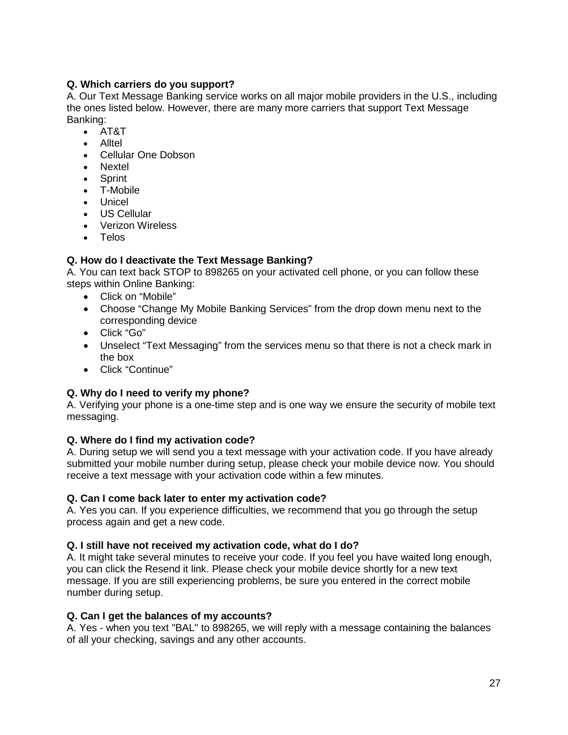# **Q. Which carriers do you support?**

A. Our Text Message Banking service works on all major mobile providers in the U.S., including the ones listed below. However, there are many more carriers that support Text Message Banking:

- AT&T
- Alltel
- Cellular One Dobson
- Nextel
- Sprint
- T-Mobile
- Unicel
- US Cellular
- Verizon Wireless
- Telos

# <span id="page-26-0"></span>**Q. How do I deactivate the Text Message Banking?**

A. You can text back STOP to 898265 on your activated cell phone, or you can follow these steps within Online Banking:

- Click on "Mobile"
- Choose "Change My Mobile Banking Services" from the drop down menu next to the corresponding device
- Click "Go"
- Unselect "Text Messaging" from the services menu so that there is not a check mark in the box
- Click "Continue"

# <span id="page-26-1"></span>**Q. Why do I need to verify my phone?**

A. Verifying your phone is a one-time step and is one way we ensure the security of mobile text messaging.

## **Q. Where do I find my activation code?**

A. During setup we will send you a text message with your activation code. If you have already submitted your mobile number during setup, please check your mobile device now. You should receive a text message with your activation code within a few minutes.

## **Q. Can I come back later to enter my activation code?**

A. Yes you can. If you experience difficulties, we recommend that you go through the setup process again and get a new code.

## **Q. I still have not received my activation code, what do I do?**

A. It might take several minutes to receive your code. If you feel you have waited long enough, you can click the Resend it link. Please check your mobile device shortly for a new text message. If you are still experiencing problems, be sure you entered in the correct mobile number during setup.

## **Q. Can I get the balances of my accounts?**

A. Yes - when you text "BAL" to 898265, we will reply with a message containing the balances of all your checking, savings and any other accounts.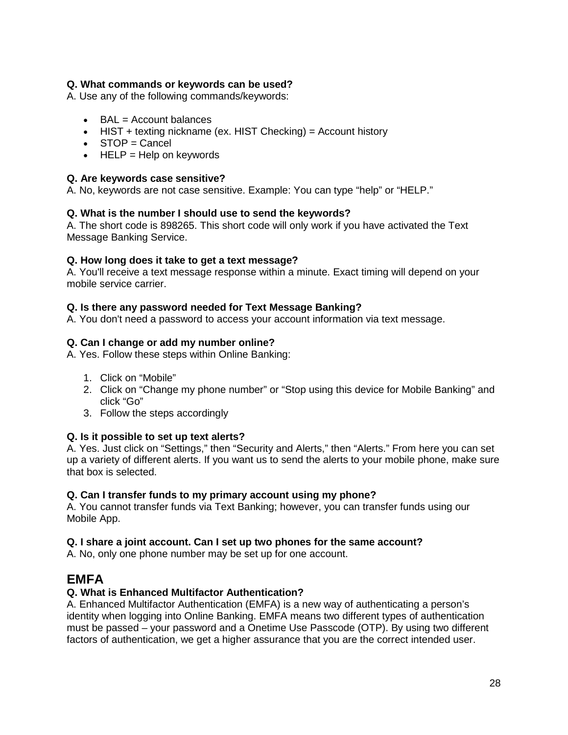# **Q. What commands or keywords can be used?**

A. Use any of the following commands/keywords:

- $\bullet$  BAL = Account balances
- HIST + texting nickname (ex. HIST Checking) = Account history
- STOP = Cancel
- $\bullet$  HELP = Help on keywords

## <span id="page-27-0"></span>**Q. Are keywords case sensitive?**

A. No, keywords are not case sensitive. Example: You can type "help" or "HELP."

## <span id="page-27-1"></span>**Q. What is the number I should use to send the keywords?**

A. The short code is 898265. This short code will only work if you have activated the Text Message Banking Service.

## **Q. How long does it take to get a text message?**

A. You'll receive a text message response within a minute. Exact timing will depend on your mobile service carrier.

## **Q. Is there any password needed for Text Message Banking?**

A. You don't need a password to access your account information via text message.

# **Q. Can I change or add my number online?**

A. Yes. Follow these steps within Online Banking:

- 1. Click on "Mobile"
- 2. Click on "Change my phone number" or "Stop using this device for Mobile Banking" and click "Go"
- 3. Follow the steps accordingly

## <span id="page-27-2"></span>**Q. Is it possible to set up text alerts?**

A. Yes. Just click on "Settings," then "Security and Alerts," then "Alerts." From here you can set up a variety of different alerts. If you want us to send the alerts to your mobile phone, make sure that box is selected.

## **Q. Can I transfer funds to my primary account using my phone?**

A. You cannot transfer funds via Text Banking; however, you can transfer funds using our Mobile App.

## <span id="page-27-3"></span>**Q. I share a joint account. Can I set up two phones for the same account?**

A. No, only one phone number may be set up for one account.

# <span id="page-27-4"></span>**EMFA**

## <span id="page-27-5"></span>**Q. What is Enhanced Multifactor Authentication?**

A. Enhanced Multifactor Authentication (EMFA) is a new way of authenticating a person's identity when logging into Online Banking. EMFA means two different types of authentication must be passed – your password and a Onetime Use Passcode (OTP). By using two different factors of authentication, we get a higher assurance that you are the correct intended user.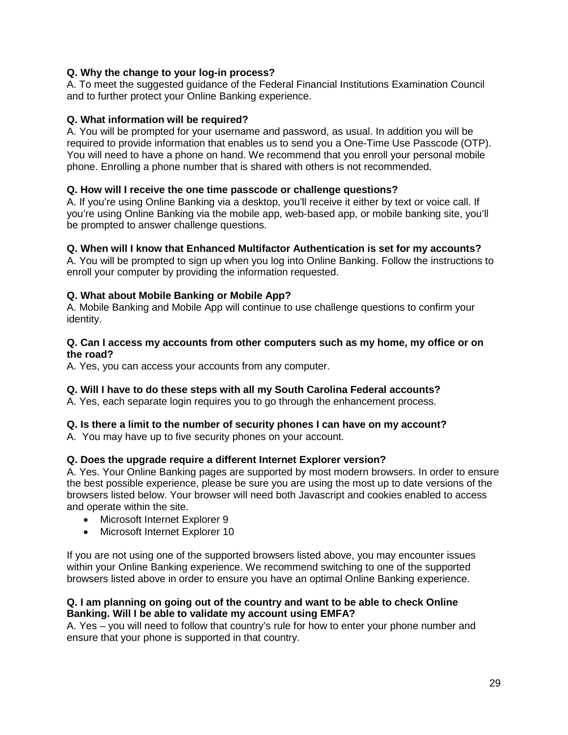# <span id="page-28-0"></span>**Q. Why the change to your log-in process?**

A. To meet the suggested guidance of the Federal Financial Institutions Examination Council and to further protect your Online Banking experience.

## <span id="page-28-1"></span>**Q. What information will be required?**

A. You will be prompted for your username and password, as usual. In addition you will be required to provide information that enables us to send you a One-Time Use Passcode (OTP). You will need to have a phone on hand. We recommend that you enroll your personal mobile phone. Enrolling a phone number that is shared with others is not recommended.

## <span id="page-28-2"></span>**Q. How will I receive the one time passcode or challenge questions?**

A. If you're using Online Banking via a desktop, you'll receive it either by text or voice call. If you're using Online Banking via the mobile app, web-based app, or mobile banking site, you'll be prompted to answer challenge questions.

#### <span id="page-28-3"></span>**Q. When will I know that Enhanced Multifactor Authentication is set for my accounts?**

A. You will be prompted to sign up when you log into Online Banking. Follow the instructions to enroll your computer by providing the information requested.

#### <span id="page-28-4"></span>**Q. What about Mobile Banking or Mobile App?**

A. Mobile Banking and Mobile App will continue to use challenge questions to confirm your identity.

#### <span id="page-28-5"></span>**Q. Can I access my accounts from other computers such as my home, my office or on the road?**

A. Yes, you can access your accounts from any computer.

## <span id="page-28-6"></span>**Q. Will I have to do these steps with all my South Carolina Federal accounts?**

A. Yes, each separate login requires you to go through the enhancement process.

## <span id="page-28-7"></span>**Q. Is there a limit to the number of security phones I can have on my account?**

A. You may have up to five security phones on your account.

## <span id="page-28-8"></span>**Q. Does the upgrade require a different Internet Explorer version?**

A. Yes. Your Online Banking pages are supported by most modern browsers. In order to ensure the best possible experience, please be sure you are using the most up to date versions of the browsers listed below. Your browser will need both Javascript and cookies enabled to access and operate within the site.

- Microsoft Internet Explorer 9
- Microsoft Internet Explorer 10

If you are not using one of the supported browsers listed above, you may encounter issues within your Online Banking experience. We recommend switching to one of the supported browsers listed above in order to ensure you have an optimal Online Banking experience.

#### <span id="page-28-9"></span>**Q. I am planning on going out of the country and want to be able to check Online Banking. Will I be able to validate my account using EMFA?**

A. Yes – you will need to follow that country's rule for how to enter your phone number and ensure that your phone is supported in that country.